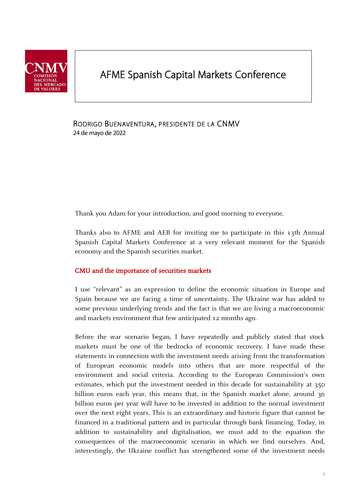

# AFME Spanish Capital Markets Conference

RODRIGO BUENAVENTURA, PRESIDENTE DE LA CNMV 24 de mayo de 2022

Thank you Adam for your introduction, and good morning to everyone.

Thanks also to AFME and AEB for inviting me to participate in this 13th Annual Spanish Capital Markets Conference at a very relevant moment for the Spanish economy and the Spanish securities market.

## CMU and the importance of securities markets

I use "relevant" as an expression to define the economic situation in Europe and Spain because we are facing a time of uncertainty. The Ukraine war has added to some previous underlying trends and the fact is that we are living a macroeconomic and markets environment that few anticipated 12 months ago.

Before the war scenario began, I have repeatedly and publicly stated that stock markets must be one of the bedrocks of economic recovery. I have made these statements in connection with the investment needs arising from the transformation of European economic models into others that are more respectful of the environment and social criteria. According to the European Commission's own estimates, which put the investment needed in this decade for sustainability at 350 billion euros each year, this means that, in the Spanish market alone, around 30 billion euros per year will have to be invested in addition to the normal investment over the next eight years. This is an extraordinary and historic figure that cannot be financed in a traditional pattern and in particular through bank financing. Today, in addition to sustainability and digitalisation, we must add to the equation the consequences of the macroeconomic scenario in which we find ourselves. And, interestingly, the Ukraine conflict has strengthened some of the investment needs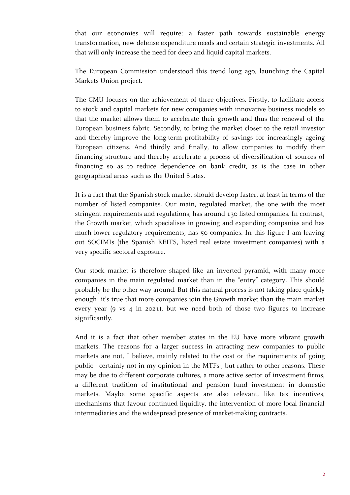that our economies will require: a faster path towards sustainable energy transformation, new defense expenditure needs and certain strategic investments. All that will only increase the need for deep and liquid capital markets.

The European Commission understood this trend long ago, launching the Capital Markets Union project.

The CMU focuses on the achievement of three objectives. Firstly, to facilitate access to stock and capital markets for new companies with innovative business models so that the market allows them to accelerate their growth and thus the renewal of the European business fabric. Secondly, to bring the market closer to the retail investor and thereby improve the long-term profitability of savings for increasingly ageing European citizens. And thirdly and finally, to allow companies to modify their financing structure and thereby accelerate a process of diversification of sources of financing so as to reduce dependence on bank credit, as is the case in other geographical areas such as the United States.

It is a fact that the Spanish stock market should develop faster, at least in terms of the number of listed companies. Our main, regulated market, the one with the most stringent requirements and regulations, has around 130 listed companies. In contrast, the Growth market, which specialises in growing and expanding companies and has much lower regulatory requirements, has 50 companies. In this figure I am leaving out SOCIMIs (the Spanish REITS, listed real estate investment companies) with a very specific sectoral exposure.

Our stock market is therefore shaped like an inverted pyramid, with many more companies in the main regulated market than in the "entry" category. This should probably be the other way around. But this natural process is not taking place quickly enough: it's true that more companies join the Growth market than the main market every year (9 vs 4 in 2021), but we need both of those two figures to increase significantly.

And it is a fact that other member states in the EU have more vibrant growth markets. The reasons for a larger success in attracting new companies to public markets are not, I believe, mainly related to the cost or the requirements of going public - certainly not in my opinion in the MTFs-, but rather to other reasons. These may be due to different corporate cultures, a more active sector of investment firms, a different tradition of institutional and pension fund investment in domestic markets. Maybe some specific aspects are also relevant, like tax incentives, mechanisms that favour continued liquidity, the intervention of more local financial intermediaries and the widespread presence of market-making contracts.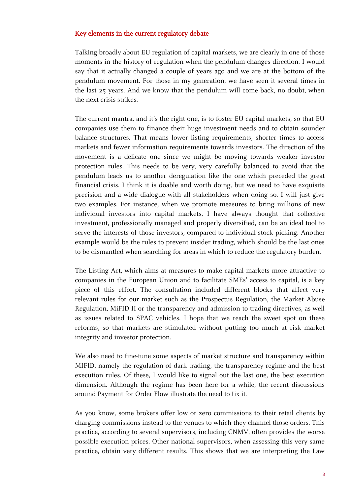## Key elements in the current regulatory debate

Talking broadly about EU regulation of capital markets, we are clearly in one of those moments in the history of regulation when the pendulum changes direction. I would say that it actually changed a couple of years ago and we are at the bottom of the pendulum movement. For those in my generation, we have seen it several times in the last 25 years. And we know that the pendulum will come back, no doubt, when the next crisis strikes.

The current mantra, and it's the right one, is to foster EU capital markets, so that EU companies use them to finance their huge investment needs and to obtain sounder balance structures. That means lower listing requirements, shorter times to access markets and fewer information requirements towards investors. The direction of the movement is a delicate one since we might be moving towards weaker investor protection rules. This needs to be very, very carefully balanced to avoid that the pendulum leads us to another deregulation like the one which preceded the great financial crisis. I think it is doable and worth doing, but we need to have exquisite precision and a wide dialogue with all stakeholders when doing so. I will just give two examples. For instance, when we promote measures to bring millions of new individual investors into capital markets, I have always thought that collective investment, professionally managed and properly diversified, can be an ideal tool to serve the interests of those investors, compared to individual stock picking. Another example would be the rules to prevent insider trading, which should be the last ones to be dismantled when searching for areas in which to reduce the regulatory burden.

The Listing Act, which aims at measures to make capital markets more attractive to companies in the European Union and to facilitate SMEs' access to capital, is a key piece of this effort. The consultation included different blocks that affect very relevant rules for our market such as the Prospectus Regulation, the Market Abuse Regulation, MiFID II or the transparency and admission to trading directives, as well as issues related to SPAC vehicles. I hope that we reach the sweet spot on these reforms, so that markets are stimulated without putting too much at risk market integrity and investor protection.

We also need to fine-tune some aspects of market structure and transparency within MIFID, namely the regulation of dark trading, the transparency regime and the best execution rules. Of these, I would like to signal out the last one, the best execution dimension. Although the regime has been here for a while, the recent discussions around Payment for Order Flow illustrate the need to fix it.

As you know, some brokers offer low or zero commissions to their retail clients by charging commissions instead to the venues to which they channel those orders. This practice, according to several supervisors, including CNMV, often provides the worse possible execution prices. Other national supervisors, when assessing this very same practice, obtain very different results. This shows that we are interpreting the Law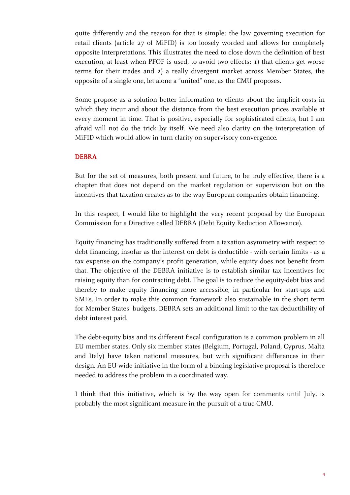quite differently and the reason for that is simple: the law governing execution for retail clients (article 27 of MiFID) is too loosely worded and allows for completely opposite interpretations. This illustrates the need to close down the definition of best execution, at least when PFOF is used, to avoid two effects: 1) that clients get worse terms for their trades and 2) a really divergent market across Member States, the opposite of a single one, let alone a "united" one, as the CMU proposes.

Some propose as a solution better information to clients about the implicit costs in which they incur and about the distance from the best execution prices available at every moment in time. That is positive, especially for sophisticated clients, but I am afraid will not do the trick by itself. We need also clarity on the interpretation of MiFID which would allow in turn clarity on supervisory convergence.

### DEBRA

But for the set of measures, both present and future, to be truly effective, there is a chapter that does not depend on the market regulation or supervision but on the incentives that taxation creates as to the way European companies obtain financing.

In this respect, I would like to highlight the very recent proposal by the European Commission for a Directive called DEBRA (Debt Equity Reduction Allowance).

Equity financing has traditionally suffered from a taxation asymmetry with respect to debt financing, insofar as the interest on debt is deductible - with certain limits - as a tax expense on the company's profit generation, while equity does not benefit from that. The objective of the DEBRA initiative is to establish similar tax incentives for raising equity than for contracting debt. The goal is to reduce the equity-debt bias and thereby to make equity financing more accessible, in particular for start-ups and SMEs. In order to make this common framework also sustainable in the short term for Member States' budgets, DEBRA sets an additional limit to the tax deductibility of debt interest paid.

The debt-equity bias and its different fiscal configuration is a common problem in all EU member states. Only six member states (Belgium, Portugal, Poland, Cyprus, Malta and Italy) have taken national measures, but with significant differences in their design. An EU-wide initiative in the form of a binding legislative proposal is therefore needed to address the problem in a coordinated way.

I think that this initiative, which is by the way open for comments until July, is probably the most significant measure in the pursuit of a true CMU.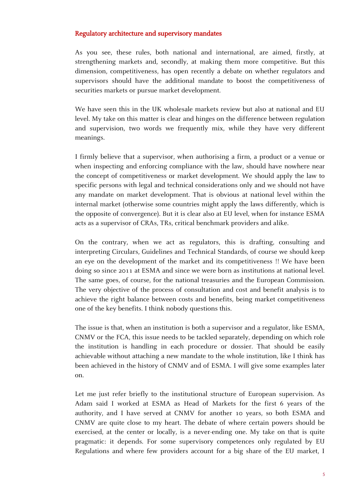## Regulatory architecture and supervisory mandates

As you see, these rules, both national and international, are aimed, firstly, at strengthening markets and, secondly, at making them more competitive. But this dimension, competitiveness, has open recently a debate on whether regulators and supervisors should have the additional mandate to boost the competitiveness of securities markets or pursue market development.

We have seen this in the UK wholesale markets review but also at national and EU level. My take on this matter is clear and hinges on the difference between regulation and supervision, two words we frequently mix, while they have very different meanings.

I firmly believe that a supervisor, when authorising a firm, a product or a venue or when inspecting and enforcing compliance with the law, should have nowhere near the concept of competitiveness or market development. We should apply the law to specific persons with legal and technical considerations only and we should not have any mandate on market development. That is obvious at national level within the internal market (otherwise some countries might apply the laws differently, which is the opposite of convergence). But it is clear also at EU level, when for instance ESMA acts as a supervisor of CRAs, TRs, critical benchmark providers and alike.

On the contrary, when we act as regulators, this is drafting, consulting and interpreting Circulars, Guidelines and Technical Standards, of course we should keep an eye on the development of the market and its competitiveness !! We have been doing so since 2011 at ESMA and since we were born as institutions at national level. The same goes, of course, for the national treasuries and the European Commission. The very objective of the process of consultation and cost and benefit analysis is to achieve the right balance between costs and benefits, being market competitiveness one of the key benefits. I think nobody questions this.

The issue is that, when an institution is both a supervisor and a regulator, like ESMA, CNMV or the FCA, this issue needs to be tackled separately, depending on which role the institution is handling in each procedure or dossier. That should be easily achievable without attaching a new mandate to the whole institution, like I think has been achieved in the history of CNMV and of ESMA. I will give some examples later on.

Let me just refer briefly to the institutional structure of European supervision. As Adam said I worked at ESMA as Head of Markets for the first 6 years of the authority, and I have served at CNMV for another 10 years, so both ESMA and CNMV are quite close to my heart. The debate of where certain powers should be exercised, at the center or locally, is a never-ending one. My take on that is quite pragmatic: it depends. For some supervisory competences only regulated by EU Regulations and where few providers account for a big share of the EU market, I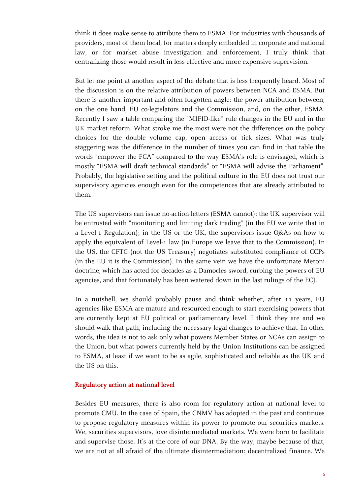think it does make sense to attribute them to ESMA. For industries with thousands of providers, most of them local, for matters deeply embedded in corporate and national law, or for market abuse investigation and enforcement, I truly think that centralizing those would result in less effective and more expensive supervision.

But let me point at another aspect of the debate that is less frequently heard. Most of the discussion is on the relative attribution of powers between NCA and ESMA. But there is another important and often forgotten angle: the power attribution between, on the one hand, EU co-legislators and the Commission, and, on the other, ESMA. Recently I saw a table comparing the "MIFID-like" rule changes in the EU and in the UK market reform. What stroke me the most were not the differences on the policy choices for the double volume cap, open access or tick sizes. What was truly staggering was the difference in the number of times you can find in that table the words "empower the FCA" compared to the way ESMA's role is envisaged, which is mostly "ESMA will draft technical standards" or "ESMA will advise the Parliament". Probably, the legislative setting and the political culture in the EU does not trust our supervisory agencies enough even for the competences that are already attributed to them.

The US supervisors can issue no-action letters (ESMA cannot); the UK supervisor will be entrusted with "monitoring and limiting dark trading" (in the EU we write that in a Level-1 Regulation); in the US or the UK, the supervisors issue Q&As on how to apply the equivalent of Level-1 law (in Europe we leave that to the Commission). In the US, the CFTC (not the US Treasury) negotiates substituted compliance of CCPs (in the EU it is the Commission). In the same vein we have the unfortunate Meroni doctrine, which has acted for decades as a Damocles sword, curbing the powers of EU agencies, and that fortunately has been watered down in the last rulings of the ECJ.

In a nutshell, we should probably pause and think whether, after 11 years, EU agencies like ESMA are mature and resourced enough to start exercising powers that are currently kept at EU political or parliamentary level. I think they are and we should walk that path, including the necessary legal changes to achieve that. In other words, the idea is not to ask only what powers Member States or NCAs can assign to the Union, but what powers currently held by the Union Institutions can be assigned to ESMA, at least if we want to be as agile, sophisticated and reliable as the UK and the US on this.

#### Regulatory action at national level

Besides EU measures, there is also room for regulatory action at national level to promote CMU. In the case of Spain, the CNMV has adopted in the past and continues to propose regulatory measures within its power to promote our securities markets. We, securities supervisors, love disintermediated markets. We were born to facilitate and supervise those. It's at the core of our DNA. By the way, maybe because of that, we are not at all afraid of the ultimate disintermediation: decentralized finance. We